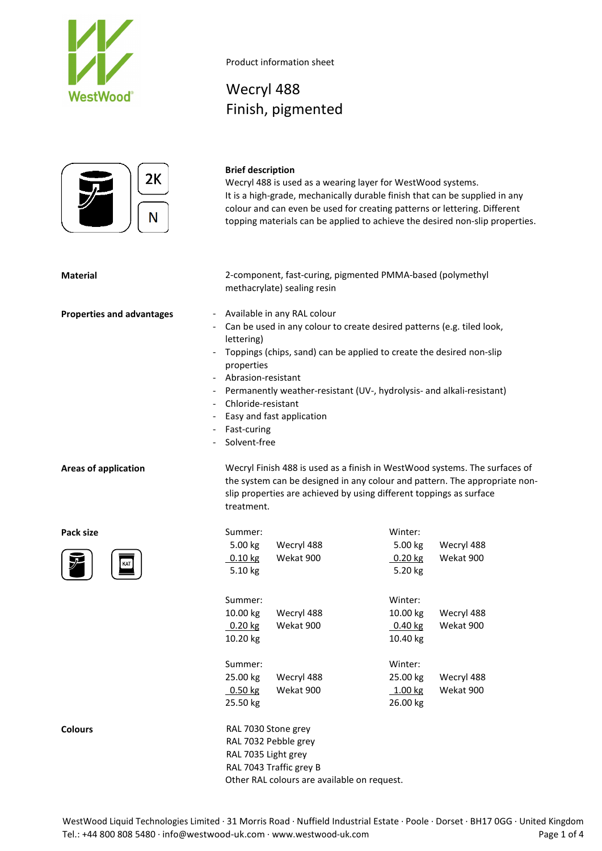



### **Brief description**

Wecryl 488

Product information sheet

Finish, pigmented

Wecryl 488 is used as a wearing layer for WestWood systems. It is a high-grade, mechanically durable finish that can be supplied in any colour and can even be used for creating patterns or lettering. Different topping materials can be applied to achieve the desired non-slip properties.

**Material** 2-component, fast-curing, pigmented PMMA-based (polymethyl methacrylate) sealing resin

- **Properties and advantages** Available in any RAL colour
	- Can be used in any colour to create desired patterns (e.g. tiled look, lettering)
	- Toppings (chips, sand) can be applied to create the desired non-slip properties
	- Abrasion-resistant
	- Permanently weather-resistant (UV-, hydrolysis- and alkali-resistant)

slip properties are achieved by using different toppings as surface

the system can be designed in any colour and pattern. The appropriate non-

- Chloride-resistant
- Easy and fast application
- Fast-curing
- Solvent-free

treatment.

**Areas of application** Wecryl Finish 488 is used as a finish in WestWood systems. The surfaces of



| Pack size<br>KAT | Summer:<br>5.00 kg<br>Wecryl 488<br>$0.10$ kg<br>Wekat 900<br>5.10 kg                         | Winter:<br>5.00 kg<br>Wecryl 488<br>Wekat 900<br>$0.20$ kg<br>5.20 kg     |
|------------------|-----------------------------------------------------------------------------------------------|---------------------------------------------------------------------------|
|                  | Summer:<br>10.00 kg<br>Wecryl 488<br>Wekat 900<br>$0.20$ kg<br>10.20 kg                       | Winter:<br>10.00 $kg$<br>Wecryl 488<br>Wekat 900<br>$0.40$ kg<br>10.40 kg |
|                  | Summer:<br>25.00 kg<br>Wecryl 488<br>$0.50$ kg<br>Wekat 900<br>25.50 kg                       | Winter:<br>25.00 kg<br>Wecryl 488<br>1.00 kg<br>Wekat 900<br>26.00 kg     |
| <b>Colours</b>   | RAL 7030 Stone grey<br>RAL 7032 Pebble grey<br>RAL 7035 Light grey<br>RAL 7043 Traffic grey B |                                                                           |

Other RAL colours are available on request.

WestWood Liquid Technologies Limited · 31 Morris Road · Nuffield Industrial Estate · Poole · Dorset · BH17 0GG · United Kingdom Tel.: +44 800 808 5480 · info@westwood-uk.com · www.westwood-uk.com example are example at the Page 1 of 4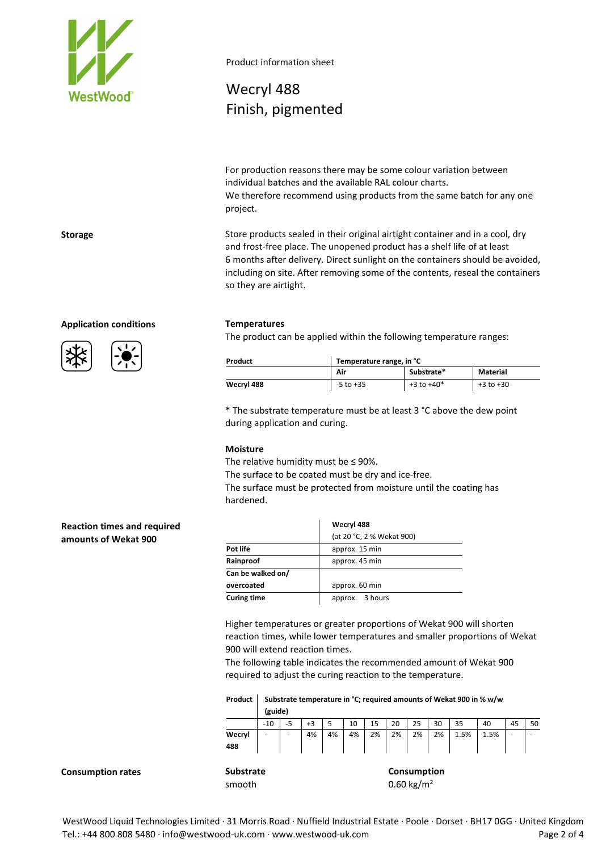

Product information sheet

# Wecryl 488 Finish, pigmented

For production reasons there may be some colour variation between individual batches and the available RAL colour charts. We therefore recommend using products from the same batch for any one project.

**Storage** Store products sealed in their original airtight container and in a cool, dry and frost-free place. The unopened product has a shelf life of at least 6 months after delivery. Direct sunlight on the containers should be avoided, including on site. After removing some of the contents, reseal the containers so they are airtight.

### **Application conditions Temperatures**

The product can be applied within the following temperature ranges:

| Product    | Temperature range, in °C |                |               |  |  |
|------------|--------------------------|----------------|---------------|--|--|
|            | Air                      | Substrate*     | Material      |  |  |
| Wecryl 488 | $-5$ to $+35$            | $+3$ to $+40*$ | $+3$ to $+30$ |  |  |

\* The substrate temperature must be at least 3 °C above the dew point during application and curing.

### **Moisture**

The relative humidity must be  $\leq$  90%.

The surface to be coated must be dry and ice-free.

The surface must be protected from moisture until the coating has hardened.

### **Reaction times and required amounts of Wekat 900**

|                    | Wecryl 488                |  |  |  |  |  |
|--------------------|---------------------------|--|--|--|--|--|
|                    | (at 20 °C, 2 % Wekat 900) |  |  |  |  |  |
| Pot life           | approx. 15 min            |  |  |  |  |  |
| Rainproof          | approx. 45 min            |  |  |  |  |  |
| Can be walked on/  |                           |  |  |  |  |  |
| overcoated         | approx. 60 min            |  |  |  |  |  |
| <b>Curing time</b> | approx. 3 hours           |  |  |  |  |  |

Higher temperatures or greater proportions of Wekat 900 will shorten reaction times, while lower temperatures and smaller proportions of Wekat 900 will extend reaction times.

The following table indicates the recommended amount of Wekat 900 required to adjust the curing reaction to the temperature.

| Product l |         |  |  |  |  | Substrate temperature in °C; required amounts of Wekat 900 in % w/w |  |
|-----------|---------|--|--|--|--|---------------------------------------------------------------------|--|
|           | (guide) |  |  |  |  |                                                                     |  |
|           |         |  |  |  |  |                                                                     |  |

|               | $-10$ |   | +3 |    | 10 | 15 | 20 | 25          | 30 | 35   | 40   | 45 | 50 |
|---------------|-------|---|----|----|----|----|----|-------------|----|------|------|----|----|
| Wecryl<br>488 | -     | ۰ | 4% | 4% | 4% | 2% | 2% | 2%          | 2% | 1.5% | 1.5% | -  | -  |
| Substrate     |       |   |    |    |    |    |    | Consumption |    |      |      |    |    |

**Consumption rates** 

smooth  $0.60 \text{ kg/m}^2$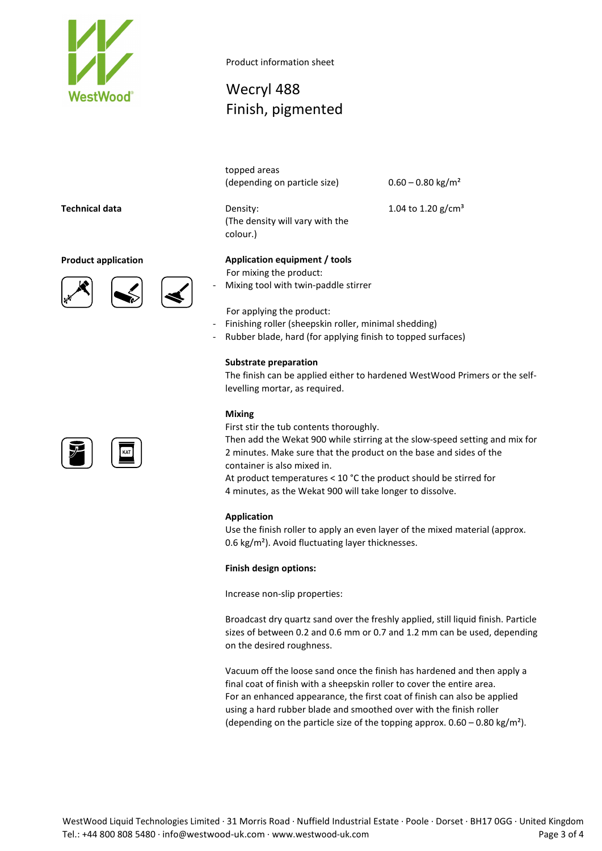

Product information sheet

# Wecryl 488 Finish, pigmented

topped areas (depending on particle size)  $0.60 - 0.80$  kg/m<sup>2</sup>

(The density will vary with the colour.)

1.04 to 1.20  $g/cm^{3}$ 

## **Technical data** Density:

### **Product application Application equipment / tools**





For mixing the product: - Mixing tool with twin-paddle stirrer

- For applying the product:
- Finishing roller (sheepskin roller, minimal shedding)
- Rubber blade, hard (for applying finish to topped surfaces)

### **Substrate preparation**

The finish can be applied either to hardened WestWood Primers or the selflevelling mortar, as required.

### **Mixing**

First stir the tub contents thoroughly.

Then add the Wekat 900 while stirring at the slow-speed setting and mix for 2 minutes. Make sure that the product on the base and sides of the container is also mixed in.

At product temperatures < 10 °C the product should be stirred for 4 minutes, as the Wekat 900 will take longer to dissolve.

### **Application**

Use the finish roller to apply an even layer of the mixed material (approx. 0.6 kg/m²). Avoid fluctuating layer thicknesses.

### **Finish design options:**

Increase non-slip properties:

Broadcast dry quartz sand over the freshly applied, still liquid finish. Particle sizes of between 0.2 and 0.6 mm or 0.7 and 1.2 mm can be used, depending on the desired roughness.

Vacuum off the loose sand once the finish has hardened and then apply a final coat of finish with a sheepskin roller to cover the entire area. For an enhanced appearance, the first coat of finish can also be applied using a hard rubber blade and smoothed over with the finish roller (depending on the particle size of the topping approx.  $0.60 - 0.80$  kg/m<sup>2</sup>).